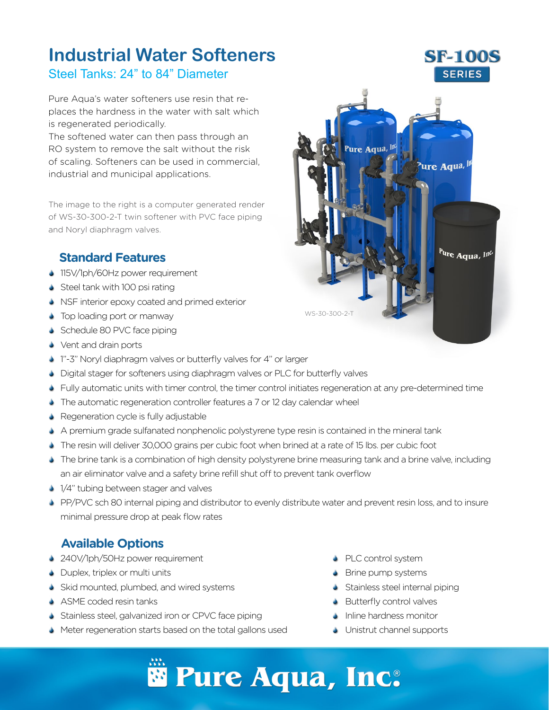## **Industrial Water Softeners** Steel Tanks: 24" to 84" Diameter

Pure Aqua's water softeners use resin that replaces the hardness in the water with salt which is regenerated periodically.

The softened water can then pass through an RO system to remove the salt without the risk of scaling. Softeners can be used in commercial, industrial and municipal applications.

The image to the right is a computer generated render of WS-30-300-2-T twin softener with PVC face piping and Noryl diaphragm valves.

#### **Standard Features**

- 115V/1ph/60Hz power requirement
- Steel tank with 100 psi rating
- S NSF interior epoxy coated and primed exterior
- Top loading port or manway
- Schedule 80 PVC face piping
- Vent and drain ports
- <sup>1</sup> 1"-3" Noryl diaphragm valves or butterfly valves for 4" or larger
- **Digital stager for softeners using diaphragm valves or PLC for butterfly valves**
- Fully automatic units with timer control, the timer control initiates regeneration at any pre-determined time
- **The automatic regeneration controller features a 7 or 12 day calendar wheel**
- Regeneration cycle is fully adjustable
- A premium grade sulfanated nonphenolic polystyrene type resin is contained in the mineral tank S
- The resin will deliver 30,000 grains per cubic foot when brined at a rate of 15 lbs. per cubic foot
- The brine tank is a combination of high density polystyrene brine measuring tank and a brine valve, including S an air eliminator valve and a safety brine refill shut off to prevent tank overflow
- 1/4" tubing between stager and valves
- PP/PVC sch 80 internal piping and distributor to evenly distribute water and prevent resin loss, and to insure minimal pressure drop at peak flow rates

#### **Available Options**

- 240V/1ph/50Hz power requirement
- Duplex, triplex or multi units
- Skid mounted, plumbed, and wired systems
- **S** ASME coded resin tanks
- Stainless steel, galvanized iron or CPVC face piping
- Meter regeneration starts based on the total gallons used
- PLC control system
- Brine pump systems
- Stainless steel internal piping
- **S** Butterfly control valves
- **Inline hardness monitor**
- Unistrut channel supports S

# **Pure Aqua, Inc.** ®

### **SF-100S SERIES**

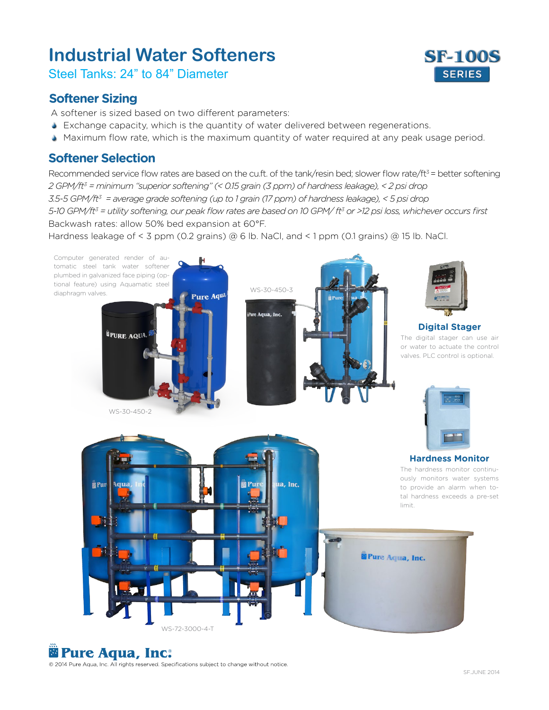# **Industrial Water Softeners**

Steel Tanks: 24" to 84" Diameter

#### **Softener Sizing**

A softener is sized based on two different parameters:

- Exchange capacity, which is the quantity of water delivered between regenerations. S
- Maximum flow rate, which is the maximum quantity of water required at any peak usage period. S

#### **Softener Selection**

Recommended service flow rates are based on the cu.ft. of the tank/resin bed; slower flow rate/ft<sup>3</sup> = better softening *2 GPM/ft3 = minimum "superior softening" (< 0.15 grain (3 ppm) of hardness leakage), < 2 psi drop 3.5-5 GPM/ft3 = average grade softening (up to 1 grain (17 ppm) of hardness leakage), < 5 psi drop 5-10 GPM/ft3 = utility softening, our peak flow rates are based on 10 GPM/ ft<sup>3</sup> or >12 psi loss, whichever occurs first* Backwash rates: allow 50% bed expansion at 60°F.

Hardness leakage of < 3 ppm (0.2 grains) @ 6 lb. NaCl, and < 1 ppm (0.1 grains) @ 15 lb. NaCl.



## **Pure Aqua, Inc.** ®

© 2014 Pure Aqua, Inc. All rights reserved. Specifications subject to change without notice.

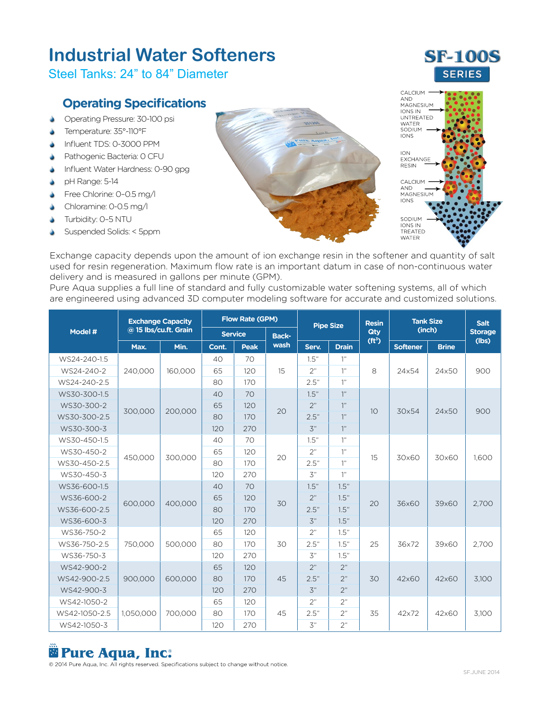# **Industrial Water Softeners**

Steel Tanks: 24" to 84" Diameter

#### **Operating Specifications**

- $\Delta$ Operating Pressure: 30-100 psi
- $\Delta$ Temperature: 35°-110°F
- ò Influent TDS: 0-3000 PPM
- $\Delta$ Pathogenic Bacteria: 0 CFU
- $\Delta$ Influent Water Hardness: 0-90 gpg
- S pH Range: 5-14
- $\Delta$ Free Chlorine: 0–0.5 mg/l
- $\blacktriangle$ Chloramine: 0-0.5 mg/l
- S Turbidity: 0–5 NTU
- S Suspended Solids: < 5ppm





Exchange capacity depends upon the amount of ion exchange resin in the softener and quantity of salt used for resin regeneration. Maximum flow rate is an important datum in case of non-continuous water delivery and is measured in gallons per minute (GPM).

Pure Aqua supplies a full line of standard and fully customizable water softening systems, all of which are engineered using advanced 3D computer modeling software for accurate and customized solutions.

| Model #       | <b>Exchange Capacity</b><br>@ 15 lbs/cu.ft. Grain |         | <b>Flow Rate (GPM)</b> |             |              | <b>Pipe Size</b> |              | <b>Resin</b>       | <b>Tank Size</b> |              | <b>Salt</b>    |
|---------------|---------------------------------------------------|---------|------------------------|-------------|--------------|------------------|--------------|--------------------|------------------|--------------|----------------|
|               |                                                   |         | <b>Service</b>         |             | <b>Back-</b> |                  |              | Qty                | (inch)           |              | <b>Storage</b> |
|               | Max.                                              | Min.    | Cont.                  | <b>Peak</b> | wash         | Serv.            | <b>Drain</b> | (ft <sup>3</sup> ) | <b>Softener</b>  | <b>Brine</b> | (lbs)          |
| WS24-240-1.5  | 240.000                                           | 160.000 | 40                     | 70          | 15           | 1.5"             | 1"           | 8                  | 24×54            | 24x50        | 900            |
| WS24-240-2    |                                                   |         | 65                     | 120         |              | 2"               | 1"           |                    |                  |              |                |
| WS24-240-2.5  |                                                   |         | 80                     | 170         |              | 2.5"             | 1"           |                    |                  |              |                |
| WS30-300-1.5  | 300.000                                           | 200.000 | 40                     | 70          | 20           | 1.5"             | 1"           | 10                 | 30×54            | $24\times50$ | 900            |
| WS30-300-2    |                                                   |         | 65                     | 120         |              | 2"               | 1"           |                    |                  |              |                |
| WS30-300-2.5  |                                                   |         | 80                     | 170         |              | 2.5"             | 1"           |                    |                  |              |                |
| WS30-300-3    |                                                   |         | 120                    | 270         |              | $\mathfrak{Z}^n$ | 1"           |                    |                  |              |                |
| WS30-450-1.5  |                                                   |         | 40                     | 70          | 20           | 1.5"             | 1"           | 15                 | 30×60            | 30×60        | 1.600          |
| WS30-450-2    | 450,000                                           | 300.000 | 65                     | 120         |              | 2"               | 1"           |                    |                  |              |                |
| WS30-450-2.5  |                                                   |         | 80                     | 170         |              | 2.5"             | 1"           |                    |                  |              |                |
| WS30-450-3    |                                                   |         | 120                    | 270         |              | $\mathcal{Z}''$  | 1"           |                    |                  |              |                |
| WS36-600-1.5  | 600,000                                           | 400.000 | 40                     | 70          | 30           | 1.5"             | 1.5"         | 20                 | 36×60            | 39×60        | 2,700          |
| WS36-600-2    |                                                   |         | 65                     | 120         |              | 2"               | 1.5"         |                    |                  |              |                |
| WS36-600-2.5  |                                                   |         | 80                     | 170         |              | 2.5"             | 1.5"         |                    |                  |              |                |
| WS36-600-3    |                                                   |         | 120                    | 270         |              | $\mathfrak{Z}^n$ | 1.5"         |                    |                  |              |                |
| WS36-750-2    | 750.000                                           | 500.000 | 65                     | 120         | 30           | 2"               | 1.5"         | 25                 | 36×72            | 39×60        | 2,700          |
| WS36-750-2.5  |                                                   |         | 80                     | 170         |              | 2.5"             | 1.5"         |                    |                  |              |                |
| WS36-750-3    |                                                   |         | 120                    | 270         |              | $\mathfrak{Z}^n$ | 1.5"         |                    |                  |              |                |
| WS42-900-2    | 900.000                                           | 600,000 | 65                     | 120         | 45           | 2"               | 2"           | 30                 | 42×60            | 42×60        | 3,100          |
| WS42-900-2.5  |                                                   |         | 80                     | 170         |              | 2.5"             | 2"           |                    |                  |              |                |
| WS42-900-3    |                                                   |         | 120                    | 270         |              | $\mathcal{F}''$  | 2"           |                    |                  |              |                |
| WS42-1050-2   | 1,050,000                                         | 700,000 | 65                     | 120         | 45           | 2"               | 2"           | 35                 | 42×72            | 42×60        | 3,100          |
| WS42-1050-2.5 |                                                   |         | 80                     | 170         |              | 2.5"             | 2"           |                    |                  |              |                |
| WS42-1050-3   |                                                   |         | 120                    | 270         |              | $\mathfrak{Z}^n$ | 2"           |                    |                  |              |                |

## **Pure Aqua, Inc.** ®

© 2014 Pure Aqua, Inc. All rights reserved. Specifications subject to change without notice.